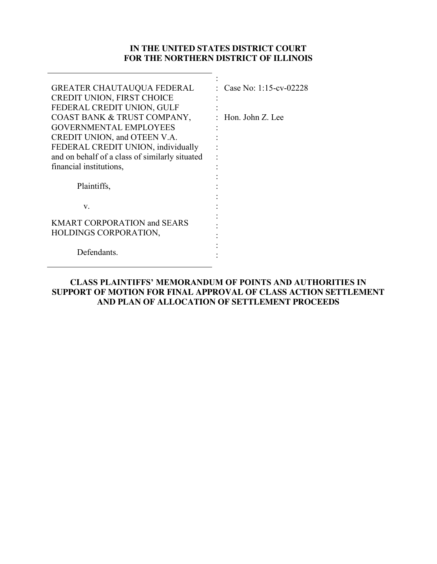### **IN THE UNITED STATES DISTRICT COURT FOR THE NORTHERN DISTRICT OF ILLINOIS**

:

| Case No: 1:15-cv-02228 |
|------------------------|
|                        |
|                        |
| : Hon. John Z. Lee     |
|                        |
|                        |
|                        |
|                        |
|                        |
|                        |
|                        |
|                        |
|                        |
|                        |
|                        |
|                        |
|                        |
|                        |
|                        |

**CLASS PLAINTIFFS' MEMORANDUM OF POINTS AND AUTHORITIES IN SUPPORT OF MOTION FOR FINAL APPROVAL OF CLASS ACTION SETTLEMENT AND PLAN OF ALLOCATION OF SETTLEMENT PROCEEDS**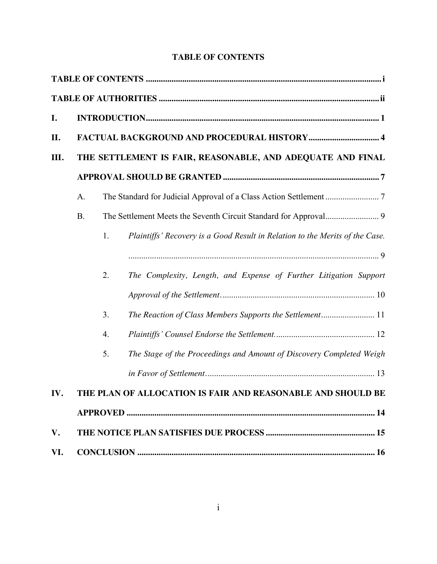| I.   |    |    |                                                                              |  |
|------|----|----|------------------------------------------------------------------------------|--|
| П.   |    |    |                                                                              |  |
| III. |    |    | THE SETTLEMENT IS FAIR, REASONABLE, AND ADEQUATE AND FINAL                   |  |
|      |    |    |                                                                              |  |
|      | A. |    |                                                                              |  |
|      | B. |    |                                                                              |  |
|      |    | 1. | Plaintiffs' Recovery is a Good Result in Relation to the Merits of the Case. |  |
|      |    |    |                                                                              |  |
|      |    | 2. | The Complexity, Length, and Expense of Further Litigation Support            |  |
|      |    |    |                                                                              |  |
|      |    | 3. | The Reaction of Class Members Supports the Settlement 11                     |  |
|      |    | 4. |                                                                              |  |
|      |    | 5. | The Stage of the Proceedings and Amount of Discovery Completed Weigh         |  |
|      |    |    |                                                                              |  |
| IV.  |    |    | THE PLAN OF ALLOCATION IS FAIR AND REASONABLE AND SHOULD BE                  |  |
|      |    |    |                                                                              |  |
| V.   |    |    |                                                                              |  |
| VI.  |    |    |                                                                              |  |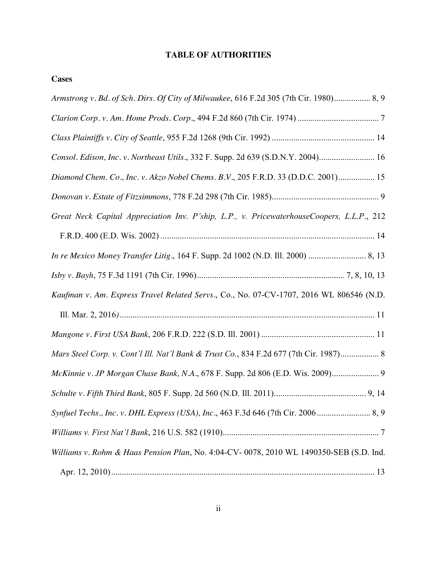## **TABLE OF AUTHORITIES**

| <b>Cases</b> |  |
|--------------|--|
|              |  |
|              |  |

| Armstrong v. Bd. of Sch. Dirs. Of City of Milwaukee, 616 F.2d 305 (7th Cir. 1980) 8, 9    |
|-------------------------------------------------------------------------------------------|
|                                                                                           |
|                                                                                           |
| Consol. Edison, Inc. v. Northeast Utils., 332 F. Supp. 2d 639 (S.D.N.Y. 2004) 16          |
| Diamond Chem. Co., Inc. v. Akzo Nobel Chems. B.V., 205 F.R.D. 33 (D.D.C. 2001) 15         |
|                                                                                           |
| Great Neck Capital Appreciation Inv. P'ship, L.P., v. PricewaterhouseCoopers, L.L.P., 212 |
|                                                                                           |
|                                                                                           |
|                                                                                           |
| Kaufman v. Am. Express Travel Related Servs., Co., No. 07-CV-1707, 2016 WL 806546 (N.D.   |
|                                                                                           |
|                                                                                           |
| Mars Steel Corp. v. Cont'l Ill. Nat'l Bank & Trust Co., 834 F.2d 677 (7th Cir. 1987) 8    |
| McKinnie v. JP Morgan Chase Bank, N.A., 678 F. Supp. 2d 806 (E.D. Wis. 2009) 9            |
|                                                                                           |
|                                                                                           |
|                                                                                           |
| Williams v. Rohm & Haas Pension Plan, No. 4:04-CV-0078, 2010 WL 1490350-SEB (S.D. Ind.    |
|                                                                                           |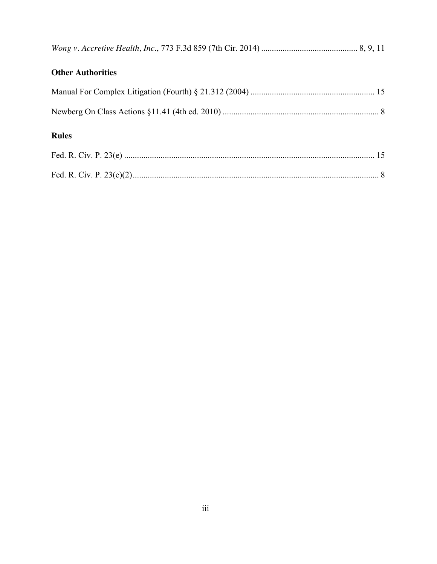| <b>Other Authorities</b> |  |
|--------------------------|--|
|                          |  |
|                          |  |

# **Rules**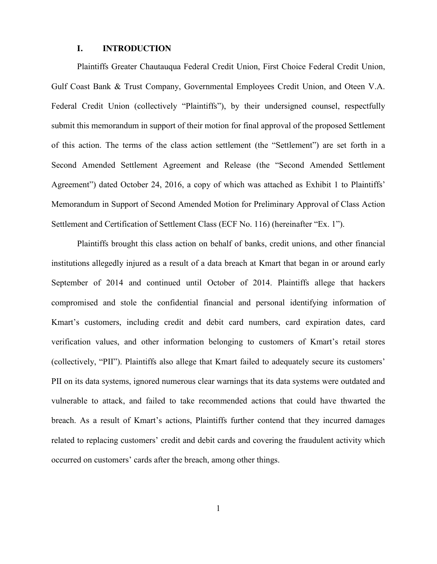### **I. INTRODUCTION**

Plaintiffs Greater Chautauqua Federal Credit Union, First Choice Federal Credit Union, Gulf Coast Bank & Trust Company, Governmental Employees Credit Union, and Oteen V.A. Federal Credit Union (collectively "Plaintiffs"), by their undersigned counsel, respectfully submit this memorandum in support of their motion for final approval of the proposed Settlement of this action. The terms of the class action settlement (the "Settlement") are set forth in a Second Amended Settlement Agreement and Release (the "Second Amended Settlement Agreement") dated October 24, 2016, a copy of which was attached as Exhibit 1 to Plaintiffs' Memorandum in Support of Second Amended Motion for Preliminary Approval of Class Action Settlement and Certification of Settlement Class (ECF No. 116) (hereinafter "Ex. 1").

Plaintiffs brought this class action on behalf of banks, credit unions, and other financial institutions allegedly injured as a result of a data breach at Kmart that began in or around early September of 2014 and continued until October of 2014. Plaintiffs allege that hackers compromised and stole the confidential financial and personal identifying information of Kmart's customers, including credit and debit card numbers, card expiration dates, card verification values, and other information belonging to customers of Kmart's retail stores (collectively, "PII"). Plaintiffs also allege that Kmart failed to adequately secure its customers' PII on its data systems, ignored numerous clear warnings that its data systems were outdated and vulnerable to attack, and failed to take recommended actions that could have thwarted the breach. As a result of Kmart's actions, Plaintiffs further contend that they incurred damages related to replacing customers' credit and debit cards and covering the fraudulent activity which occurred on customers' cards after the breach, among other things.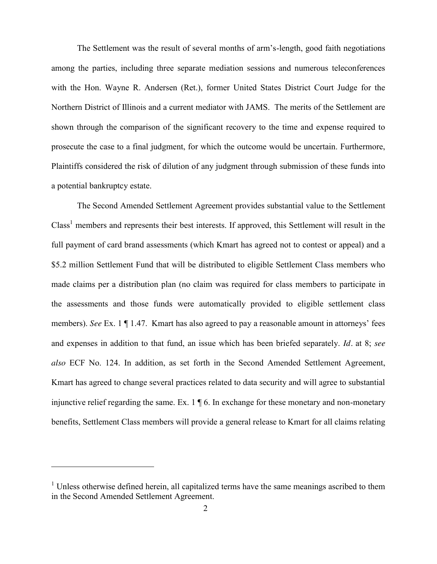The Settlement was the result of several months of arm's-length, good faith negotiations among the parties, including three separate mediation sessions and numerous teleconferences with the Hon. Wayne R. Andersen (Ret.), former United States District Court Judge for the Northern District of Illinois and a current mediator with JAMS. The merits of the Settlement are shown through the comparison of the significant recovery to the time and expense required to prosecute the case to a final judgment, for which the outcome would be uncertain. Furthermore, Plaintiffs considered the risk of dilution of any judgment through submission of these funds into a potential bankruptcy estate.

The Second Amended Settlement Agreement provides substantial value to the Settlement Class<sup>1</sup> members and represents their best interests. If approved, this Settlement will result in the full payment of card brand assessments (which Kmart has agreed not to contest or appeal) and a \$5.2 million Settlement Fund that will be distributed to eligible Settlement Class members who made claims per a distribution plan (no claim was required for class members to participate in the assessments and those funds were automatically provided to eligible settlement class members). *See* Ex. 1 ¶ 1.47. Kmart has also agreed to pay a reasonable amount in attorneys' fees and expenses in addition to that fund, an issue which has been briefed separately. *Id.* at 8; *see also* ECF No. 124. In addition, as set forth in the Second Amended Settlement Agreement, Kmart has agreed to change several practices related to data security and will agree to substantial injunctive relief regarding the same. Ex. 1 ¶ 6. In exchange for these monetary and non-monetary benefits, Settlement Class members will provide a general release to Kmart for all claims relating

 $\overline{a}$ 

<sup>&</sup>lt;sup>1</sup> Unless otherwise defined herein, all capitalized terms have the same meanings ascribed to them in the Second Amended Settlement Agreement.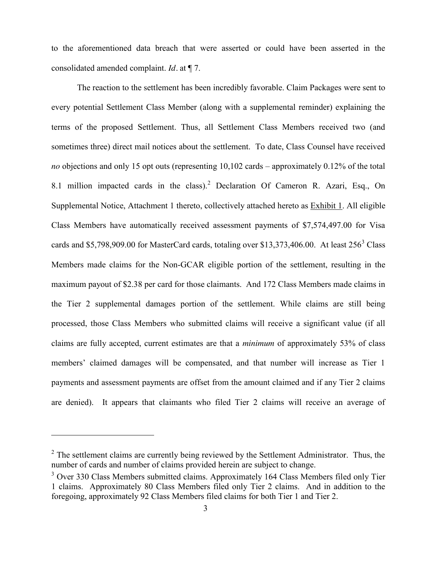to the aforementioned data breach that were asserted or could have been asserted in the consolidated amended complaint. *Id.* at ¶ 7.

The reaction to the settlement has been incredibly favorable. Claim Packages were sent to every potential Settlement Class Member (along with a supplemental reminder) explaining the terms of the proposed Settlement. Thus, all Settlement Class Members received two (and sometimes three) direct mail notices about the settlement. To date, Class Counsel have received *no* objections and only 15 opt outs (representing 10,102 cards – approximately 0.12% of the total 8.1 million impacted cards in the class).<sup>2</sup> Declaration Of Cameron R. Azari, Esq., On Supplemental Notice, Attachment 1 thereto, collectively attached hereto as Exhibit 1. All eligible Class Members have automatically received assessment payments of \$7,574,497.00 for Visa cards and \$5,798,909.00 for MasterCard cards, totaling over \$13,373,406.00. At least  $256<sup>3</sup>$  Class Members made claims for the Non-GCAR eligible portion of the settlement, resulting in the maximum payout of \$2.38 per card for those claimants. And 172 Class Members made claims in the Tier 2 supplemental damages portion of the settlement. While claims are still being processed, those Class Members who submitted claims will receive a significant value (if all claims are fully accepted, current estimates are that a *minimum* of approximately 53% of class members' claimed damages will be compensated, and that number will increase as Tier 1 payments and assessment payments are offset from the amount claimed and if any Tier 2 claims are denied). It appears that claimants who filed Tier 2 claims will receive an average of

 $2^2$  The settlement claims are currently being reviewed by the Settlement Administrator. Thus, the number of cards and number of claims provided herein are subject to change.

 $3$  Over 330 Class Members submitted claims. Approximately 164 Class Members filed only Tier 1 claims. Approximately 80 Class Members filed only Tier 2 claims. And in addition to the foregoing, approximately 92 Class Members filed claims for both Tier 1 and Tier 2.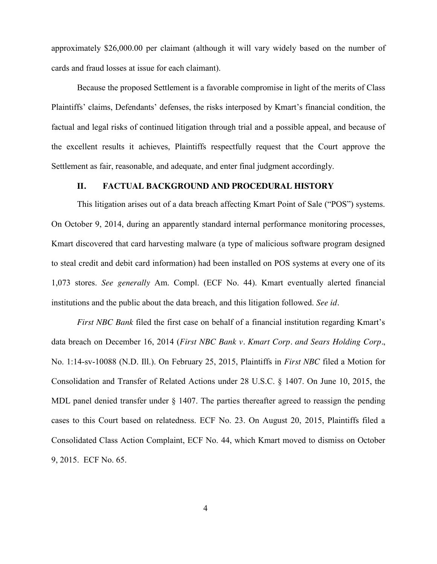approximately \$26,000.00 per claimant (although it will vary widely based on the number of cards and fraud losses at issue for each claimant).

Because the proposed Settlement is a favorable compromise in light of the merits of Class Plaintiffs' claims, Defendants' defenses, the risks interposed by Kmart's financial condition, the factual and legal risks of continued litigation through trial and a possible appeal, and because of the excellent results it achieves, Plaintiffs respectfully request that the Court approve the Settlement as fair, reasonable, and adequate, and enter final judgment accordingly.

### **II. FACTUAL BACKGROUND AND PROCEDURAL HISTORY**

This litigation arises out of a data breach affecting Kmart Point of Sale ("POS") systems. On October 9, 2014, during an apparently standard internal performance monitoring processes, Kmart discovered that card harvesting malware (a type of malicious software program designed to steal credit and debit card information) had been installed on POS systems at every one of its 1,073 stores. *See generally* Am. Compl. (ECF No. 44). Kmart eventually alerted financial institutions and the public about the data breach, and this litigation followed. *See id.*

*First NBC Bank* filed the first case on behalf of a financial institution regarding Kmart's data breach on December 16, 2014 (*First NBC Bank v. Kmart Corp. and Sears Holding Corp.*, No. 1:14-sv-10088 (N.D. Ill.). On February 25, 2015, Plaintiffs in *First NBC* filed a Motion for Consolidation and Transfer of Related Actions under 28 U.S.C. § 1407. On June 10, 2015, the MDL panel denied transfer under § 1407. The parties thereafter agreed to reassign the pending cases to this Court based on relatedness. ECF No. 23. On August 20, 2015, Plaintiffs filed a Consolidated Class Action Complaint, ECF No. 44, which Kmart moved to dismiss on October 9, 2015. ECF No. 65.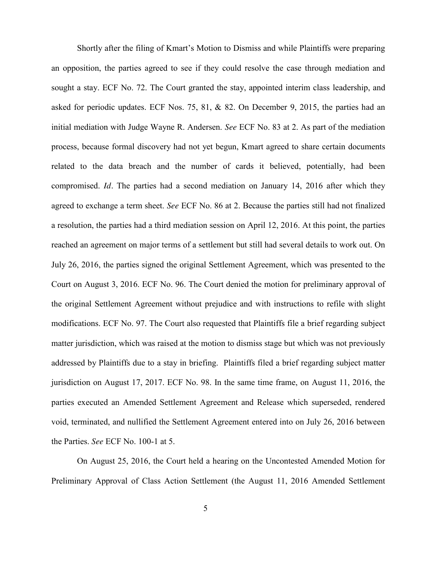Shortly after the filing of Kmart's Motion to Dismiss and while Plaintiffs were preparing an opposition, the parties agreed to see if they could resolve the case through mediation and sought a stay. ECF No. 72. The Court granted the stay, appointed interim class leadership, and asked for periodic updates. ECF Nos. 75, 81, & 82. On December 9, 2015, the parties had an initial mediation with Judge Wayne R. Andersen. *See* ECF No. 83 at 2. As part of the mediation process, because formal discovery had not yet begun, Kmart agreed to share certain documents related to the data breach and the number of cards it believed, potentially, had been compromised. *Id.* The parties had a second mediation on January 14, 2016 after which they agreed to exchange a term sheet. *See* ECF No. 86 at 2. Because the parties still had not finalized a resolution, the parties had a third mediation session on April 12, 2016. At this point, the parties reached an agreement on major terms of a settlement but still had several details to work out. On July 26, 2016, the parties signed the original Settlement Agreement, which was presented to the Court on August 3, 2016. ECF No. 96. The Court denied the motion for preliminary approval of the original Settlement Agreement without prejudice and with instructions to refile with slight modifications. ECF No. 97. The Court also requested that Plaintiffs file a brief regarding subject matter jurisdiction, which was raised at the motion to dismiss stage but which was not previously addressed by Plaintiffs due to a stay in briefing. Plaintiffs filed a brief regarding subject matter jurisdiction on August 17, 2017. ECF No. 98. In the same time frame, on August 11, 2016, the parties executed an Amended Settlement Agreement and Release which superseded, rendered void, terminated, and nullified the Settlement Agreement entered into on July 26, 2016 between the Parties. *See* ECF No. 100-1 at 5.

On August 25, 2016, the Court held a hearing on the Uncontested Amended Motion for Preliminary Approval of Class Action Settlement (the August 11, 2016 Amended Settlement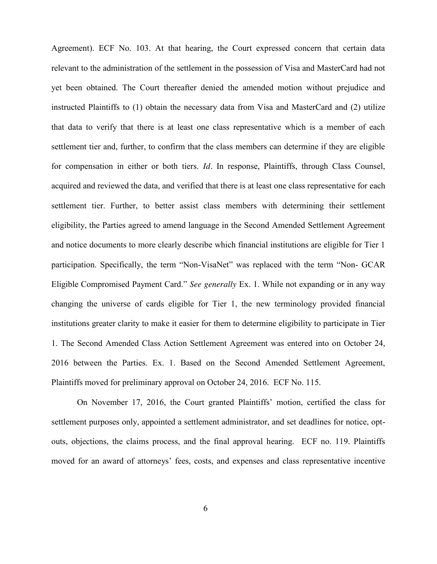Agreement). ECF No. 103. At that hearing, the Court expressed concern that certain data relevant to the administration of the settlement in the possession of Visa and MasterCard had not yet been obtained. The Court thereafter denied the amended motion without prejudice and instructed Plaintiffs to (1) obtain the necessary data from Visa and MasterCard and (2) utilize that data to verify that there is at least one class representative which is a member of each settlement tier and, further, to confirm that the class members can determine if they are eligible for compensation in either or both tiers. *Id.* In response, Plaintiffs, through Class Counsel, acquired and reviewed the data, and verified that there is at least one class representative for each settlement tier. Further, to better assist class members with determining their settlement eligibility, the Parties agreed to amend language in the Second Amended Settlement Agreement and notice documents to more clearly describe which financial institutions are eligible for Tier 1 participation. Specifically, the term "Non-VisaNet" was replaced with the term "Non- GCAR Eligible Compromised Payment Card." *See generally* Ex. 1. While not expanding or in any way changing the universe of cards eligible for Tier 1, the new terminology provided financial institutions greater clarity to make it easier for them to determine eligibility to participate in Tier 1. The Second Amended Class Action Settlement Agreement was entered into on October 24, 2016 between the Parties. Ex. 1. Based on the Second Amended Settlement Agreement, Plaintiffs moved for preliminary approval on October 24, 2016. ECF No. 115.

On November 17, 2016, the Court granted Plaintiffs' motion, certified the class for settlement purposes only, appointed a settlement administrator, and set deadlines for notice, optouts, objections, the claims process, and the final approval hearing. ECF no. 119. Plaintiffs moved for an award of attorneys' fees, costs, and expenses and class representative incentive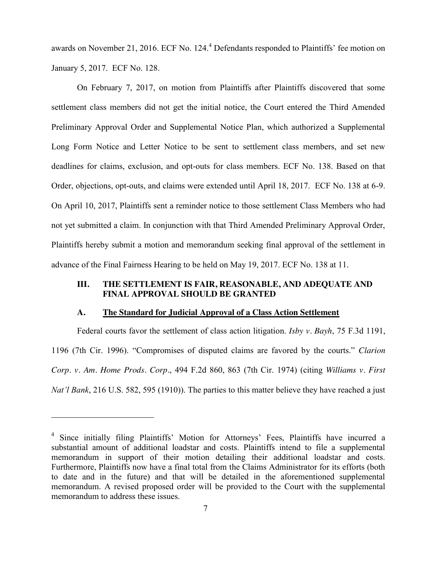awards on November 21, 2016. ECF No. 124.<sup>4</sup> Defendants responded to Plaintiffs' fee motion on January 5, 2017. ECF No. 128.

On February 7, 2017, on motion from Plaintiffs after Plaintiffs discovered that some settlement class members did not get the initial notice, the Court entered the Third Amended Preliminary Approval Order and Supplemental Notice Plan, which authorized a Supplemental Long Form Notice and Letter Notice to be sent to settlement class members, and set new deadlines for claims, exclusion, and opt-outs for class members. ECF No. 138. Based on that Order, objections, opt-outs, and claims were extended until April 18, 2017. ECF No. 138 at 6-9. On April 10, 2017, Plaintiffs sent a reminder notice to those settlement Class Members who had not yet submitted a claim. In conjunction with that Third Amended Preliminary Approval Order, Plaintiffs hereby submit a motion and memorandum seeking final approval of the settlement in advance of the Final Fairness Hearing to be held on May 19, 2017. ECF No. 138 at 11.

### **III. THE SETTLEMENT IS FAIR, REASONABLE, AND ADEQUATE AND FINAL APPROVAL SHOULD BE GRANTED**

#### **A. The Standard for Judicial Approval of a Class Action Settlement**

Federal courts favor the settlement of class action litigation. *Isby v. Bayh*, 75 F.3d 1191, 1196 (7th Cir. 1996). "Compromises of disputed claims are favored by the courts." *Clarion Corp. v. Am. Home Prods. Corp.*, 494 F.2d 860, 863 (7th Cir. 1974) (citing *Williams v. First Nat'l Bank*, 216 U.S. 582, 595 (1910)). The parties to this matter believe they have reached a just

 $\overline{a}$ 

<sup>&</sup>lt;sup>4</sup> Since initially filing Plaintiffs' Motion for Attorneys' Fees, Plaintiffs have incurred a substantial amount of additional loadstar and costs. Plaintiffs intend to file a supplemental memorandum in support of their motion detailing their additional loadstar and costs. Furthermore, Plaintiffs now have a final total from the Claims Administrator for its efforts (both to date and in the future) and that will be detailed in the aforementioned supplemental memorandum. A revised proposed order will be provided to the Court with the supplemental memorandum to address these issues.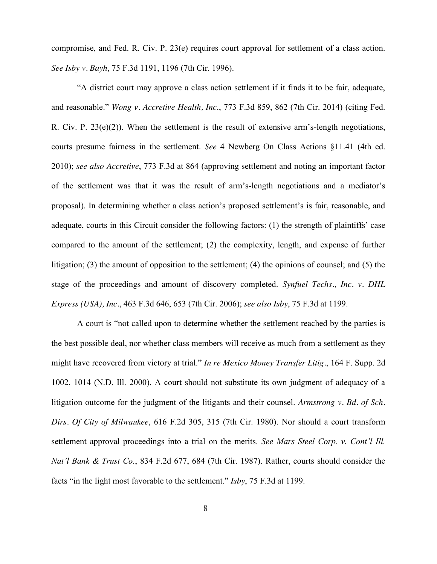compromise, and Fed. R. Civ. P. 23(e) requires court approval for settlement of a class action. *See Isby v. Bayh*, 75 F.3d 1191, 1196 (7th Cir. 1996).

"A district court may approve a class action settlement if it finds it to be fair, adequate, and reasonable." *Wong v. Accretive Health, Inc*., 773 F.3d 859, 862 (7th Cir. 2014) (citing Fed. R. Civ. P. 23(e)(2)). When the settlement is the result of extensive arm's-length negotiations, courts presume fairness in the settlement. *See* 4 Newberg On Class Actions §11.41 (4th ed. 2010); *see also Accretive*, 773 F.3d at 864 (approving settlement and noting an important factor of the settlement was that it was the result of arm's-length negotiations and a mediator's proposal). In determining whether a class action's proposed settlement's is fair, reasonable, and adequate, courts in this Circuit consider the following factors: (1) the strength of plaintiffs' case compared to the amount of the settlement; (2) the complexity, length, and expense of further litigation; (3) the amount of opposition to the settlement; (4) the opinions of counsel; and (5) the stage of the proceedings and amount of discovery completed. *Synfuel Techs., Inc. v. DHL Express (USA), Inc.*, 463 F.3d 646, 653 (7th Cir. 2006); *see also Isby*, 75 F.3d at 1199.

A court is "not called upon to determine whether the settlement reached by the parties is the best possible deal, nor whether class members will receive as much from a settlement as they might have recovered from victory at trial." *In re Mexico Money Transfer Litig.*, 164 F. Supp. 2d 1002, 1014 (N.D. Ill. 2000). A court should not substitute its own judgment of adequacy of a litigation outcome for the judgment of the litigants and their counsel. *Armstrong v. Bd. of Sch. Dirs. Of City of Milwaukee*, 616 F.2d 305, 315 (7th Cir. 1980). Nor should a court transform settlement approval proceedings into a trial on the merits. *See Mars Steel Corp. v. Cont'l Ill. Nat'l Bank & Trust Co.*, 834 F.2d 677, 684 (7th Cir. 1987). Rather, courts should consider the facts "in the light most favorable to the settlement." *Isby*, 75 F.3d at 1199.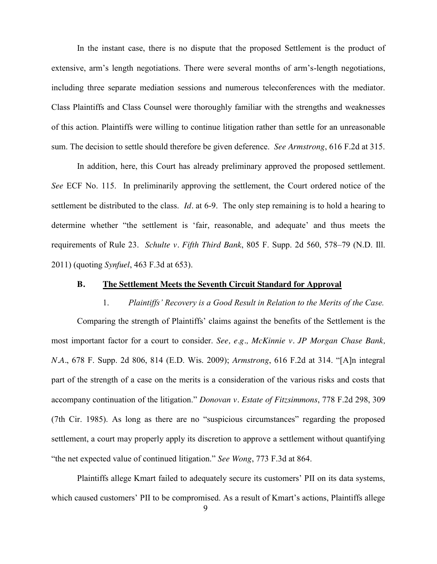In the instant case, there is no dispute that the proposed Settlement is the product of extensive, arm's length negotiations. There were several months of arm's-length negotiations, including three separate mediation sessions and numerous teleconferences with the mediator. Class Plaintiffs and Class Counsel were thoroughly familiar with the strengths and weaknesses of this action. Plaintiffs were willing to continue litigation rather than settle for an unreasonable sum. The decision to settle should therefore be given deference. *See Armstrong*, 616 F.2d at 315.

In addition, here, this Court has already preliminary approved the proposed settlement. *See* ECF No. 115. In preliminarily approving the settlement, the Court ordered notice of the settlement be distributed to the class. *Id.* at 6-9. The only step remaining is to hold a hearing to determine whether "the settlement is 'fair, reasonable, and adequate' and thus meets the requirements of Rule 23. *Schulte v. Fifth Third Bank*, 805 F. Supp. 2d 560, 578–79 (N.D. Ill. 2011) (quoting *Synfuel*, 463 F.3d at 653).

### **B. The Settlement Meets the Seventh Circuit Standard for Approval**

1. *Plaintiffs' Recovery is a Good Result in Relation to the Merits of the Case.* Comparing the strength of Plaintiffs' claims against the benefits of the Settlement is the most important factor for a court to consider. *See, e.g., McKinnie v. JP Morgan Chase Bank, N.A.*, 678 F. Supp. 2d 806, 814 (E.D. Wis. 2009); *Armstrong*, 616 F.2d at 314. "[A]n integral part of the strength of a case on the merits is a consideration of the various risks and costs that accompany continuation of the litigation." *Donovan v. Estate of Fitzsimmons*, 778 F.2d 298, 309 (7th Cir. 1985). As long as there are no "suspicious circumstances" regarding the proposed settlement, a court may properly apply its discretion to approve a settlement without quantifying "the net expected value of continued litigation." *See Wong*, 773 F.3d at 864.

Plaintiffs allege Kmart failed to adequately secure its customers' PII on its data systems, which caused customers' PII to be compromised. As a result of Kmart's actions, Plaintiffs allege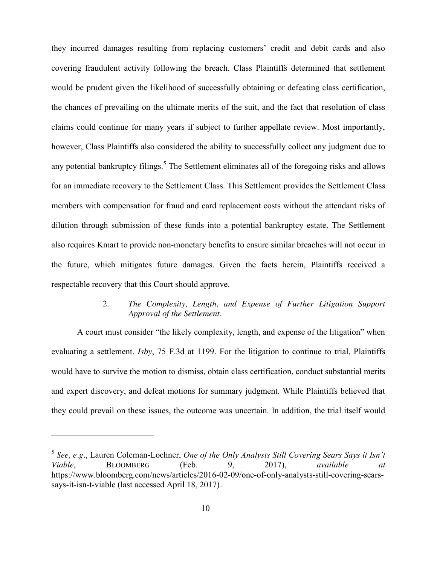they incurred damages resulting from replacing customers' credit and debit cards and also covering fraudulent activity following the breach. Class Plaintiffs determined that settlement would be prudent given the likelihood of successfully obtaining or defeating class certification, the chances of prevailing on the ultimate merits of the suit, and the fact that resolution of class claims could continue for many years if subject to further appellate review. Most importantly, however, Class Plaintiffs also considered the ability to successfully collect any judgment due to any potential bankruptcy filings.<sup>5</sup> The Settlement eliminates all of the foregoing risks and allows for an immediate recovery to the Settlement Class. This Settlement provides the Settlement Class members with compensation for fraud and card replacement costs without the attendant risks of dilution through submission of these funds into a potential bankruptcy estate. The Settlement also requires Kmart to provide non-monetary benefits to ensure similar breaches will not occur in the future, which mitigates future damages. Given the facts herein, Plaintiffs received a respectable recovery that this Court should approve.

### 2. *The Complexity, Length, and Expense of Further Litigation Support Approval of the Settlement.*

A court must consider "the likely complexity, length, and expense of the litigation" when evaluating a settlement. *Isby*, 75 F.3d at 1199. For the litigation to continue to trial, Plaintiffs would have to survive the motion to dismiss, obtain class certification, conduct substantial merits and expert discovery, and defeat motions for summary judgment. While Plaintiffs believed that they could prevail on these issues, the outcome was uncertain. In addition, the trial itself would

<sup>5</sup> *See, e.g.*, Lauren Coleman-Lochner, *One of the Only Analysts Still Covering Sears Says it Isn't Viable*, BLOOMBERG (Feb. 9, 2017), *available at* https://www.bloomberg.com/news/articles/2016-02-09/one-of-only-analysts-still-covering-searssays-it-isn-t-viable (last accessed April 18, 2017)*.*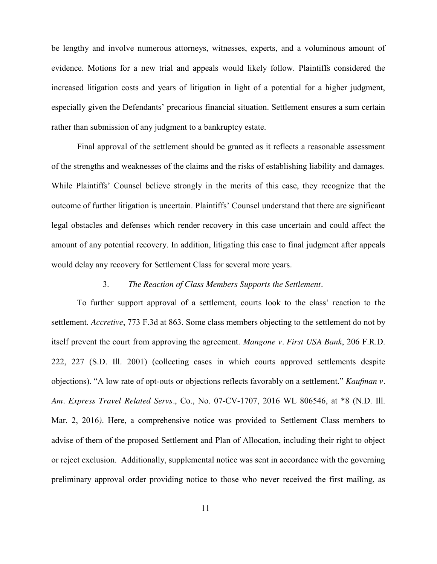be lengthy and involve numerous attorneys, witnesses, experts, and a voluminous amount of evidence. Motions for a new trial and appeals would likely follow. Plaintiffs considered the increased litigation costs and years of litigation in light of a potential for a higher judgment, especially given the Defendants' precarious financial situation. Settlement ensures a sum certain rather than submission of any judgment to a bankruptcy estate.

Final approval of the settlement should be granted as it reflects a reasonable assessment of the strengths and weaknesses of the claims and the risks of establishing liability and damages. While Plaintiffs' Counsel believe strongly in the merits of this case, they recognize that the outcome of further litigation is uncertain. Plaintiffs' Counsel understand that there are significant legal obstacles and defenses which render recovery in this case uncertain and could affect the amount of any potential recovery. In addition, litigating this case to final judgment after appeals would delay any recovery for Settlement Class for several more years.

#### 3. *The Reaction of Class Members Supports the Settlement.*

To further support approval of a settlement, courts look to the class' reaction to the settlement. *Accretive*, 773 F.3d at 863. Some class members objecting to the settlement do not by itself prevent the court from approving the agreement. *Mangone v. First USA Bank*, 206 F.R.D. 222, 227 (S.D. Ill. 2001) (collecting cases in which courts approved settlements despite objections). "A low rate of opt-outs or objections reflects favorably on a settlement." *Kaufman v. Am. Express Travel Related Servs.*, Co., No. 07-CV-1707, 2016 WL 806546, at \*8 (N.D. Ill. Mar. 2, 2016*)*. Here, a comprehensive notice was provided to Settlement Class members to advise of them of the proposed Settlement and Plan of Allocation, including their right to object or reject exclusion. Additionally, supplemental notice was sent in accordance with the governing preliminary approval order providing notice to those who never received the first mailing, as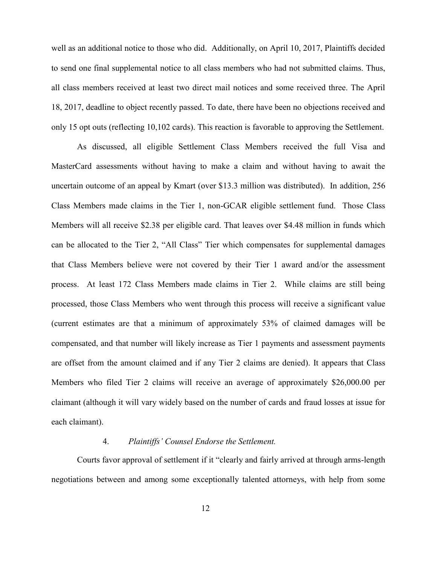well as an additional notice to those who did. Additionally, on April 10, 2017, Plaintiffs decided to send one final supplemental notice to all class members who had not submitted claims. Thus, all class members received at least two direct mail notices and some received three. The April 18, 2017, deadline to object recently passed. To date, there have been no objections received and only 15 opt outs (reflecting 10,102 cards). This reaction is favorable to approving the Settlement.

As discussed, all eligible Settlement Class Members received the full Visa and MasterCard assessments without having to make a claim and without having to await the uncertain outcome of an appeal by Kmart (over \$13.3 million was distributed). In addition, 256 Class Members made claims in the Tier 1, non-GCAR eligible settlement fund. Those Class Members will all receive \$2.38 per eligible card. That leaves over \$4.48 million in funds which can be allocated to the Tier 2, "All Class" Tier which compensates for supplemental damages that Class Members believe were not covered by their Tier 1 award and/or the assessment process. At least 172 Class Members made claims in Tier 2. While claims are still being processed, those Class Members who went through this process will receive a significant value (current estimates are that a minimum of approximately 53% of claimed damages will be compensated, and that number will likely increase as Tier 1 payments and assessment payments are offset from the amount claimed and if any Tier 2 claims are denied). It appears that Class Members who filed Tier 2 claims will receive an average of approximately \$26,000.00 per claimant (although it will vary widely based on the number of cards and fraud losses at issue for each claimant).

#### 4. *Plaintiffs' Counsel Endorse the Settlement.*

Courts favor approval of settlement if it "clearly and fairly arrived at through arms-length negotiations between and among some exceptionally talented attorneys, with help from some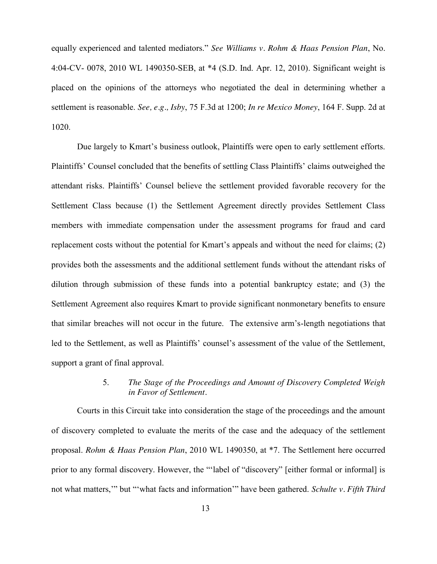equally experienced and talented mediators." *See Williams v. Rohm & Haas Pension Plan*, No. 4:04-CV- 0078, 2010 WL 1490350-SEB, at \*4 (S.D. Ind. Apr. 12, 2010). Significant weight is placed on the opinions of the attorneys who negotiated the deal in determining whether a settlement is reasonable. *See, e.g., Isby*, 75 F.3d at 1200; *In re Mexico Money*, 164 F. Supp. 2d at 1020.

Due largely to Kmart's business outlook, Plaintiffs were open to early settlement efforts. Plaintiffs' Counsel concluded that the benefits of settling Class Plaintiffs' claims outweighed the attendant risks. Plaintiffs' Counsel believe the settlement provided favorable recovery for the Settlement Class because (1) the Settlement Agreement directly provides Settlement Class members with immediate compensation under the assessment programs for fraud and card replacement costs without the potential for Kmart's appeals and without the need for claims; (2) provides both the assessments and the additional settlement funds without the attendant risks of dilution through submission of these funds into a potential bankruptcy estate; and (3) the Settlement Agreement also requires Kmart to provide significant nonmonetary benefits to ensure that similar breaches will not occur in the future. The extensive arm's-length negotiations that led to the Settlement, as well as Plaintiffs' counsel's assessment of the value of the Settlement, support a grant of final approval.

### 5. *The Stage of the Proceedings and Amount of Discovery Completed Weigh in Favor of Settlement.*

Courts in this Circuit take into consideration the stage of the proceedings and the amount of discovery completed to evaluate the merits of the case and the adequacy of the settlement proposal. *Rohm & Haas Pension Plan*, 2010 WL 1490350, at \*7. The Settlement here occurred prior to any formal discovery. However, the "'label of "discovery" [either formal or informal] is not what matters,'" but "'what facts and information'" have been gathered. *Schulte v. Fifth Third*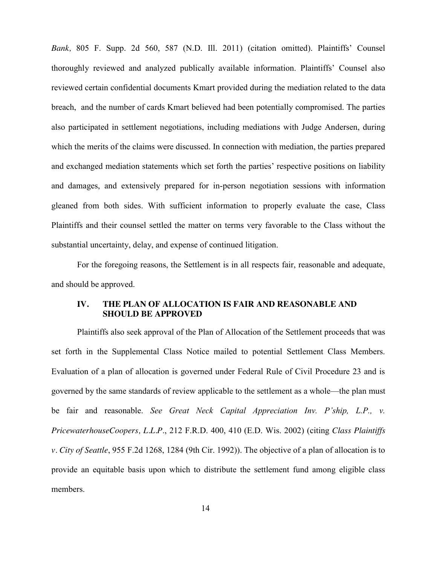*Bank,* 805 F. Supp. 2d 560, 587 (N.D. Ill. 2011) (citation omitted). Plaintiffs' Counsel thoroughly reviewed and analyzed publically available information. Plaintiffs' Counsel also reviewed certain confidential documents Kmart provided during the mediation related to the data breach, and the number of cards Kmart believed had been potentially compromised. The parties also participated in settlement negotiations, including mediations with Judge Andersen, during which the merits of the claims were discussed. In connection with mediation, the parties prepared and exchanged mediation statements which set forth the parties' respective positions on liability and damages, and extensively prepared for in-person negotiation sessions with information gleaned from both sides. With sufficient information to properly evaluate the case, Class Plaintiffs and their counsel settled the matter on terms very favorable to the Class without the substantial uncertainty, delay, and expense of continued litigation.

For the foregoing reasons, the Settlement is in all respects fair, reasonable and adequate, and should be approved.

### **IV. THE PLAN OF ALLOCATION IS FAIR AND REASONABLE AND SHOULD BE APPROVED**

Plaintiffs also seek approval of the Plan of Allocation of the Settlement proceeds that was set forth in the Supplemental Class Notice mailed to potential Settlement Class Members. Evaluation of a plan of allocation is governed under Federal Rule of Civil Procedure 23 and is governed by the same standards of review applicable to the settlement as a whole—the plan must be fair and reasonable. *See Great Neck Capital Appreciation Inv. P'ship, L.P.*, *v. PricewaterhouseCoopers, L.L.P*., 212 F.R.D. 400, 410 (E.D. Wis. 2002) (citing *Class Plaintiffs v. City of Seattle*, 955 F.2d 1268, 1284 (9th Cir. 1992)). The objective of a plan of allocation is to provide an equitable basis upon which to distribute the settlement fund among eligible class members.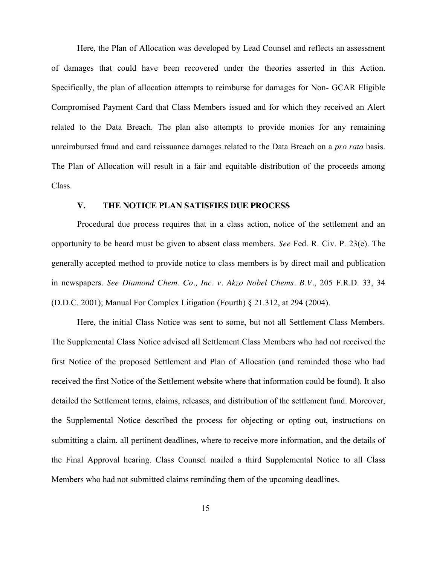Here, the Plan of Allocation was developed by Lead Counsel and reflects an assessment of damages that could have been recovered under the theories asserted in this Action. Specifically, the plan of allocation attempts to reimburse for damages for Non- GCAR Eligible Compromised Payment Card that Class Members issued and for which they received an Alert related to the Data Breach. The plan also attempts to provide monies for any remaining unreimbursed fraud and card reissuance damages related to the Data Breach on a *pro rata* basis. The Plan of Allocation will result in a fair and equitable distribution of the proceeds among Class.

### **V. THE NOTICE PLAN SATISFIES DUE PROCESS**

Procedural due process requires that in a class action, notice of the settlement and an opportunity to be heard must be given to absent class members. *See* Fed. R. Civ. P. 23(e). The generally accepted method to provide notice to class members is by direct mail and publication in newspapers. *See Diamond Chem. Co., Inc. v. Akzo Nobel Chems. B.V.*, 205 F.R.D. 33, 34 (D.D.C. 2001); Manual For Complex Litigation (Fourth) § 21.312, at 294 (2004).

Here, the initial Class Notice was sent to some, but not all Settlement Class Members. The Supplemental Class Notice advised all Settlement Class Members who had not received the first Notice of the proposed Settlement and Plan of Allocation (and reminded those who had received the first Notice of the Settlement website where that information could be found). It also detailed the Settlement terms, claims, releases, and distribution of the settlement fund. Moreover, the Supplemental Notice described the process for objecting or opting out, instructions on submitting a claim, all pertinent deadlines, where to receive more information, and the details of the Final Approval hearing. Class Counsel mailed a third Supplemental Notice to all Class Members who had not submitted claims reminding them of the upcoming deadlines.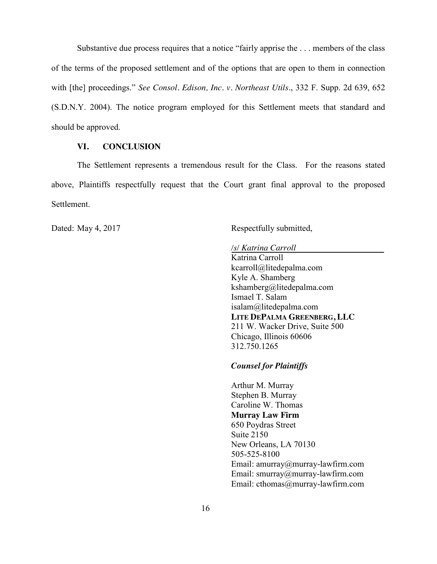Substantive due process requires that a notice "fairly apprise the . . . members of the class of the terms of the proposed settlement and of the options that are open to them in connection with [the] proceedings." *See Consol. Edison, Inc. v. Northeast Utils.*, 332 F. Supp. 2d 639, 652 (S.D.N.Y. 2004). The notice program employed for this Settlement meets that standard and should be approved.

### **VI. CONCLUSION**

The Settlement represents a tremendous result for the Class. For the reasons stated above, Plaintiffs respectfully request that the Court grant final approval to the proposed Settlement.

Dated: May 4, 2017 Respectfully submitted,

*/s/ Katrina Carroll*

Katrina Carroll kcarroll@litedepalma.com Kyle A. Shamberg kshamberg@litedepalma.com Ismael T. Salam isalam@litedepalma.com **LITE DEPALMA GREENBERG, LLC** 211 W. Wacker Drive, Suite 500 Chicago, Illinois 60606 312.750.1265

*Counsel for Plaintiffs*

Arthur M. Murray Stephen B. Murray Caroline W. Thomas **Murray Law Firm** 650 Poydras Street Suite 2150 New Orleans, LA 70130 505-525-8100 Email: amurray@murray-lawfirm.com Email: smurray@murray-lawfirm.com Email: [cthomas@murray-lawfirm.com](mailto:cthomas@murray-lawfirm.com)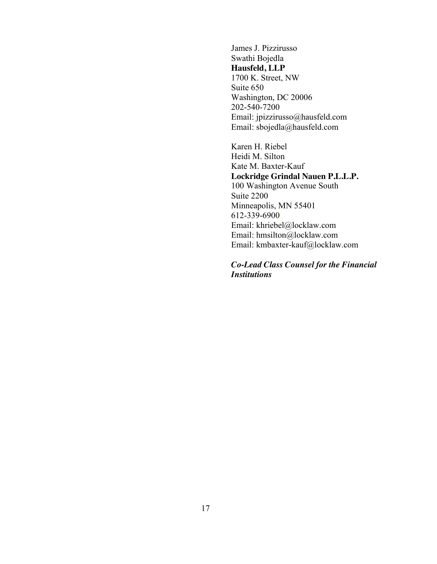James J. Pizzirusso Swathi Bojedla **Hausfeld, LLP** 1700 K. Street, NW Suite 650 Washington, DC 20006 202-540-7200 Email: jpizzirusso@hausfeld.com Email: [sbojedla@hausfeld.com](mailto:sbojedla@hausfeld.com)

Karen H. Riebel Heidi M. Silton Kate M. Baxter-Kauf **Lockridge Grindal Nauen P.L.L.P.** 100 Washington Avenue South Suite 2200 Minneapolis, MN 55401 612-339-6900 Email: khriebel@locklaw.com Email: hmsilton@locklaw.com Email: kmbaxter-kauf@locklaw.com

*Co-Lead Class Counsel for the Financial Institutions*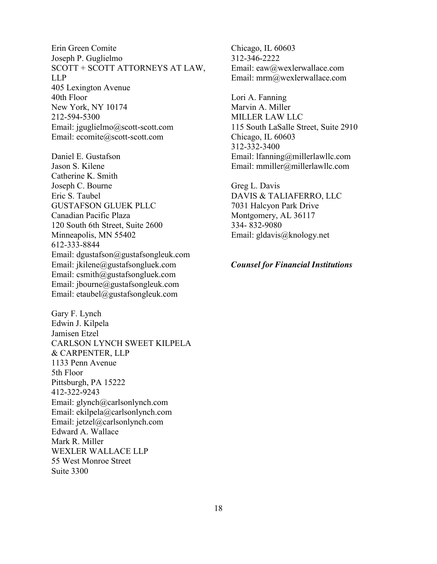Erin Green Comite Joseph P. Guglielmo SCOTT + SCOTT ATTORNEYS AT LAW, LLP 405 Lexington Avenue 40th Floor New York, NY 10174 212-594-5300 Email: jguglielmo@scott-scott.com Email: ecomite@scott-scott.com

Daniel E. Gustafson Jason S. Kilene Catherine K. Smith Joseph C. Bourne Eric S. Taubel GUSTAFSON GLUEK PLLC Canadian Pacific Plaza 120 South 6th Street, Suite 2600 Minneapolis, MN 55402 612-333-8844 Email: dgustafson@gustafsongleuk.com Email: jkilene@gustafsongluek.com Email: csmith@gustafsongluek.com Email: jbourne@gustafsongleuk.com Email: etaubel@gustafsongleuk.com

Gary F. Lynch Edwin J. Kilpela Jamisen Etzel CARLSON LYNCH SWEET KILPELA & CARPENTER, LLP 1133 Penn Avenue 5th Floor Pittsburgh, PA 15222 412-322-9243 Email: glynch@carlsonlynch.com Email: ekilpela@carlsonlynch.com Email: jetzel@carlsonlynch.com Edward A. Wallace Mark R. Miller WEXLER WALLACE LLP 55 West Monroe Street Suite 3300

Chicago, IL 60603 312-346-2222 Email: eaw@wexlerwallace.com Email: mrm@wexlerwallace.com

Lori A. Fanning Marvin A. Miller MILLER LAW LLC 115 South LaSalle Street, Suite 2910 Chicago, IL 60603 312-332-3400 Email: lfanning@millerlawllc.com Email: mmiller@millerlawllc.com

Greg L. Davis DAVIS & TALIAFERRO, LLC 7031 Halcyon Park Drive Montgomery, AL 36117 334- 832-9080 Email: gldavis@knology.net

*Counsel for Financial Institutions*